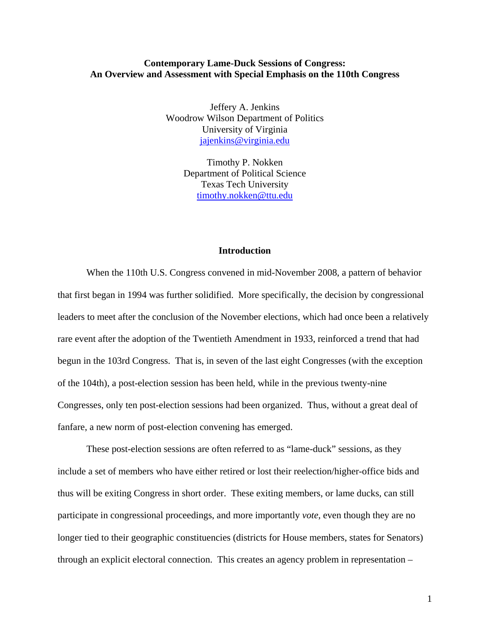#### **Contemporary Lame-Duck Sessions of Congress: An Overview and Assessment with Special Emphasis on the 110th Congress**

Jeffery A. Jenkins Woodrow Wilson Department of Politics University of Virginia [jajenkins@virginia.edu](mailto:jajenkins@virginia.edu)

> Timothy P. Nokken Department of Political Science Texas Tech University [timothy.nokken@ttu.edu](mailto:timothy.nokken@ttu.edu)

### **Introduction**

 When the 110th U.S. Congress convened in mid-November 2008, a pattern of behavior that first began in 1994 was further solidified. More specifically, the decision by congressional leaders to meet after the conclusion of the November elections, which had once been a relatively rare event after the adoption of the Twentieth Amendment in 1933, reinforced a trend that had begun in the 103rd Congress. That is, in seven of the last eight Congresses (with the exception of the 104th), a post-election session has been held, while in the previous twenty-nine Congresses, only ten post-election sessions had been organized. Thus, without a great deal of fanfare, a new norm of post-election convening has emerged.

 These post-election sessions are often referred to as "lame-duck" sessions, as they include a set of members who have either retired or lost their reelection/higher-office bids and thus will be exiting Congress in short order. These exiting members, or lame ducks, can still participate in congressional proceedings, and more importantly *vote*, even though they are no longer tied to their geographic constituencies (districts for House members, states for Senators) through an explicit electoral connection. This creates an agency problem in representation –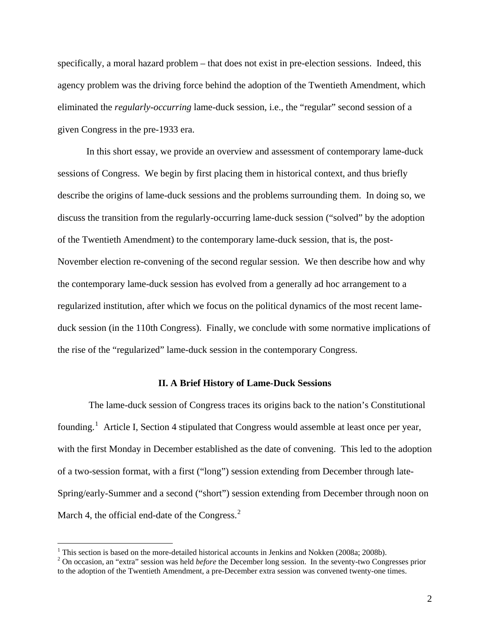specifically, a moral hazard problem – that does not exist in pre-election sessions. Indeed, this agency problem was the driving force behind the adoption of the Twentieth Amendment, which eliminated the *regularly-occurring* lame-duck session, i.e., the "regular" second session of a given Congress in the pre-1933 era.

 In this short essay, we provide an overview and assessment of contemporary lame-duck sessions of Congress. We begin by first placing them in historical context, and thus briefly describe the origins of lame-duck sessions and the problems surrounding them. In doing so, we discuss the transition from the regularly-occurring lame-duck session ("solved" by the adoption of the Twentieth Amendment) to the contemporary lame-duck session, that is, the post-November election re-convening of the second regular session. We then describe how and why the contemporary lame-duck session has evolved from a generally ad hoc arrangement to a regularized institution, after which we focus on the political dynamics of the most recent lameduck session (in the 110th Congress). Finally, we conclude with some normative implications of the rise of the "regularized" lame-duck session in the contemporary Congress.

#### **II. A Brief History of Lame-Duck Sessions**

 The lame-duck session of Congress traces its origins back to the nation's Constitutional founding.<sup>[1](#page-1-0)</sup> Article I, Section 4 stipulated that Congress would assemble at least once per year, with the first Monday in December established as the date of convening. This led to the adoption of a two-session format, with a first ("long") session extending from December through late-Spring/early-Summer and a second ("short") session extending from December through noon on March 4, the official end-date of the Congress. $<sup>2</sup>$  $<sup>2</sup>$  $<sup>2</sup>$ </sup>

<span id="page-1-0"></span><sup>&</sup>lt;sup>1</sup> This section is based on the more-detailed historical accounts in Jenkins and Nokken (2008a; 2008b).

<span id="page-1-1"></span><sup>2</sup> On occasion, an "extra" session was held *before* the December long session. In the seventy-two Congresses prior to the adoption of the Twentieth Amendment, a pre-December extra session was convened twenty-one times.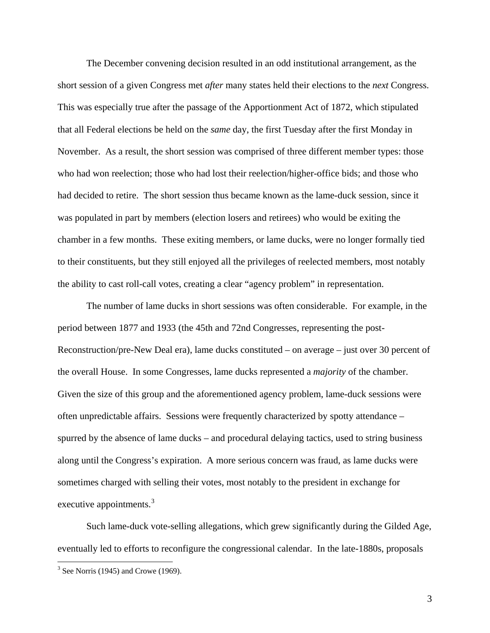The December convening decision resulted in an odd institutional arrangement, as the short session of a given Congress met *after* many states held their elections to the *next* Congress. This was especially true after the passage of the Apportionment Act of 1872, which stipulated that all Federal elections be held on the *same* day, the first Tuesday after the first Monday in November. As a result, the short session was comprised of three different member types: those who had won reelection; those who had lost their reelection/higher-office bids; and those who had decided to retire. The short session thus became known as the lame-duck session, since it was populated in part by members (election losers and retirees) who would be exiting the chamber in a few months. These exiting members, or lame ducks, were no longer formally tied to their constituents, but they still enjoyed all the privileges of reelected members, most notably the ability to cast roll-call votes, creating a clear "agency problem" in representation.

The number of lame ducks in short sessions was often considerable. For example, in the period between 1877 and 1933 (the 45th and 72nd Congresses, representing the post-Reconstruction/pre-New Deal era), lame ducks constituted – on average – just over 30 percent of the overall House. In some Congresses, lame ducks represented a *majority* of the chamber. Given the size of this group and the aforementioned agency problem, lame-duck sessions were often unpredictable affairs. Sessions were frequently characterized by spotty attendance – spurred by the absence of lame ducks – and procedural delaying tactics, used to string business along until the Congress's expiration. A more serious concern was fraud, as lame ducks were sometimes charged with selling their votes, most notably to the president in exchange for executive appointments.<sup>[3](#page-2-0)</sup>

Such lame-duck vote-selling allegations, which grew significantly during the Gilded Age, eventually led to efforts to reconfigure the congressional calendar. In the late-1880s, proposals

<span id="page-2-0"></span> $3$  See Norris (1945) and Crowe (1969).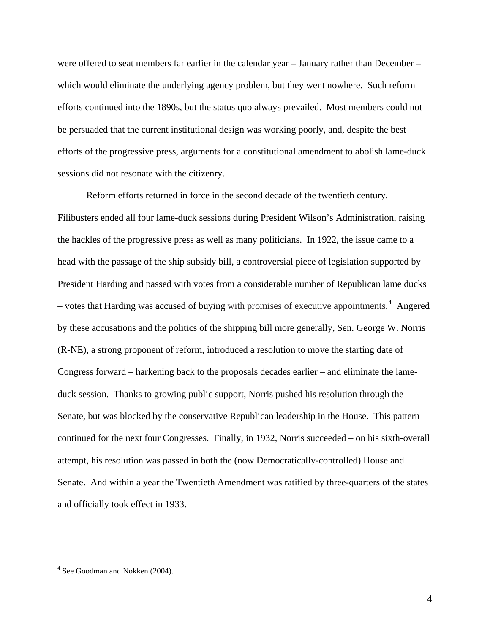were offered to seat members far earlier in the calendar year – January rather than December – which would eliminate the underlying agency problem, but they went nowhere. Such reform efforts continued into the 1890s, but the status quo always prevailed. Most members could not be persuaded that the current institutional design was working poorly, and, despite the best efforts of the progressive press, arguments for a constitutional amendment to abolish lame-duck sessions did not resonate with the citizenry.

Reform efforts returned in force in the second decade of the twentieth century. Filibusters ended all four lame-duck sessions during President Wilson's Administration, raising the hackles of the progressive press as well as many politicians. In 1922, the issue came to a head with the passage of the ship subsidy bill, a controversial piece of legislation supported by President Harding and passed with votes from a considerable number of Republican lame ducks – votes that Harding was accused of buying with promises of executive appointments.<sup>[4](#page-3-0)</sup> Angered by these accusations and the politics of the shipping bill more generally, Sen. George W. Norris (R-NE), a strong proponent of reform, introduced a resolution to move the starting date of Congress forward – harkening back to the proposals decades earlier – and eliminate the lameduck session. Thanks to growing public support, Norris pushed his resolution through the Senate, but was blocked by the conservative Republican leadership in the House. This pattern continued for the next four Congresses. Finally, in 1932, Norris succeeded – on his sixth-overall attempt, his resolution was passed in both the (now Democratically-controlled) House and Senate. And within a year the Twentieth Amendment was ratified by three-quarters of the states and officially took effect in 1933.

<u>.</u>

<span id="page-3-0"></span><sup>&</sup>lt;sup>4</sup> See Goodman and Nokken (2004).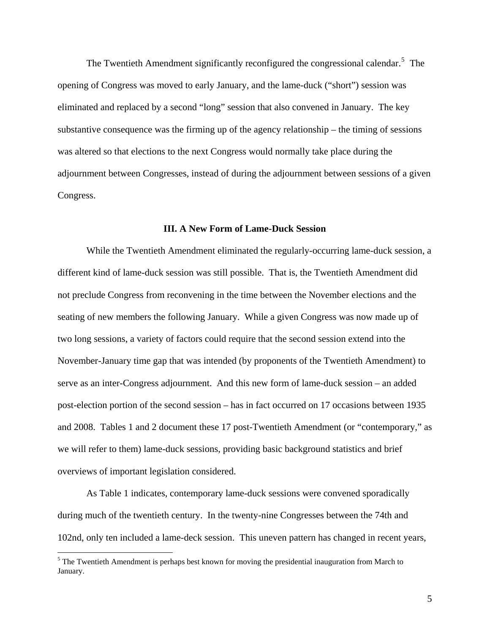<span id="page-4-0"></span>The Twentieth Amendment significantly reconfigured the congressional calendar.<sup>[5](#page-4-0)</sup> The opening of Congress was moved to early January, and the lame-duck ("short") session was eliminated and replaced by a second "long" session that also convened in January. The key substantive consequence was the firming up of the agency relationship – the timing of sessions was altered so that elections to the next Congress would normally take place during the adjournment between Congresses, instead of during the adjournment between sessions of a given Congress.

### **III. A New Form of Lame-Duck Session**

While the Twentieth Amendment eliminated the regularly-occurring lame-duck session, a different kind of lame-duck session was still possible. That is, the Twentieth Amendment did not preclude Congress from reconvening in the time between the November elections and the seating of new members the following January. While a given Congress was now made up of two long sessions, a variety of factors could require that the second session extend into the November-January time gap that was intended (by proponents of the Twentieth Amendment) to serve as an inter-Congress adjournment. And this new form of lame-duck session – an added post-election portion of the second session – has in fact occurred on 17 occasions between 1935 and 2008. Tables 1 and 2 document these 17 post-Twentieth Amendment (or "contemporary," as we will refer to them) lame-duck sessions, providing basic background statistics and brief overviews of important legislation considered.

As Table 1 indicates, contemporary lame-duck sessions were convened sporadically during much of the twentieth century. In the twenty-nine Congresses between the 74th and 102nd, only ten included a lame-deck session. This uneven pattern has changed in recent years,

<sup>&</sup>lt;sup>5</sup> The Twentieth Amendment is perhaps best known for moving the presidential inauguration from March to January.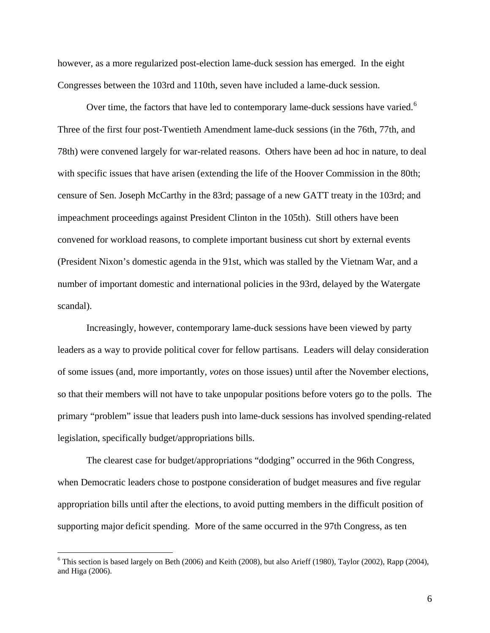<span id="page-5-0"></span>however, as a more regularized post-election lame-duck session has emerged. In the eight Congresses between the 103rd and 110th, seven have included a lame-duck session.

Over time, the factors that have led to contemporary lame-duck sessions have varied.<sup>[6](#page-5-0)</sup> Three of the first four post-Twentieth Amendment lame-duck sessions (in the 76th, 77th, and 78th) were convened largely for war-related reasons. Others have been ad hoc in nature, to deal with specific issues that have arisen (extending the life of the Hoover Commission in the 80th; censure of Sen. Joseph McCarthy in the 83rd; passage of a new GATT treaty in the 103rd; and impeachment proceedings against President Clinton in the 105th). Still others have been convened for workload reasons, to complete important business cut short by external events (President Nixon's domestic agenda in the 91st, which was stalled by the Vietnam War, and a number of important domestic and international policies in the 93rd, delayed by the Watergate scandal).

Increasingly, however, contemporary lame-duck sessions have been viewed by party leaders as a way to provide political cover for fellow partisans. Leaders will delay consideration of some issues (and, more importantly, *votes* on those issues) until after the November elections, so that their members will not have to take unpopular positions before voters go to the polls. The primary "problem" issue that leaders push into lame-duck sessions has involved spending-related legislation, specifically budget/appropriations bills.

The clearest case for budget/appropriations "dodging" occurred in the 96th Congress, when Democratic leaders chose to postpone consideration of budget measures and five regular appropriation bills until after the elections, to avoid putting members in the difficult position of supporting major deficit spending. More of the same occurred in the 97th Congress, as ten

 $6$  This section is based largely on Beth (2006) and Keith (2008), but also Arieff (1980), Taylor (2002), Rapp (2004), and Higa (2006).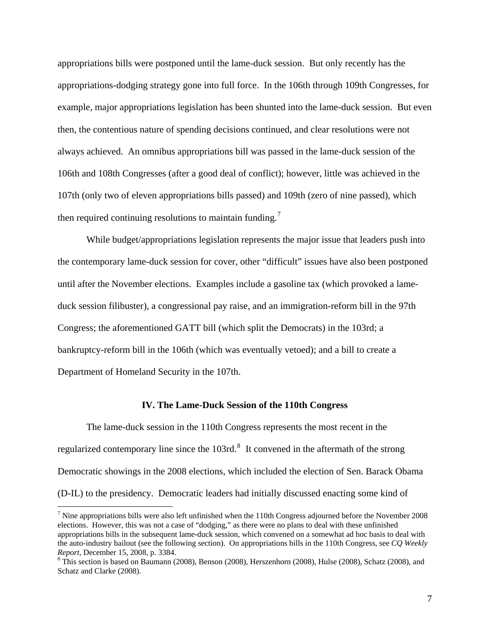<span id="page-6-0"></span>appropriations bills were postponed until the lame-duck session. But only recently has the appropriations-dodging strategy gone into full force. In the 106th through 109th Congresses, for example, major appropriations legislation has been shunted into the lame-duck session. But even then, the contentious nature of spending decisions continued, and clear resolutions were not always achieved. An omnibus appropriations bill was passed in the lame-duck session of the 106th and 108th Congresses (after a good deal of conflict); however, little was achieved in the 107th (only two of eleven appropriations bills passed) and 109th (zero of nine passed), which then required continuing resolutions to maintain funding.

While budget/appropriations legislation represents the major issue that leaders push into the contemporary lame-duck session for cover, other "difficult" issues have also been postponed until after the November elections. Examples include a gasoline tax (which provoked a lameduck session filibuster), a congressional pay raise, and an immigration-reform bill in the 97th Congress; the aforementioned GATT bill (which split the Democrats) in the 103rd; a bankruptcy-reform bill in the 106th (which was eventually vetoed); and a bill to create a Department of Homeland Security in the 107th.

#### **IV. The Lame-Duck Session of the 110th Congress**

The lame-duck session in the 110th Congress represents the most recent in the regularized contemporary line since the  $103rd.^8$  $103rd.^8$  It convened in the aftermath of the strong Democratic showings in the 2008 elections, which included the election of Sen. Barack Obama (D-IL) to the presidency. Democratic leaders had initially discussed enacting some kind of

 $<sup>7</sup>$  Nine appropriations bills were also left unfinished when the 110th Congress adjourned before the November 2008</sup> elections. However, this was not a case of "dodging," as there were no plans to deal with these unfinished appropriations bills in the subsequent lame-duck session, which convened on a somewhat ad hoc basis to deal with the auto-industry bailout (see the following section). On appropriations bills in the 110th Congress, see *CQ Weekly Report*, December 15, 2008, p. 3384.

 $8$  This section is based on Baumann (2008), Benson (2008), Herszenhorn (2008), Hulse (2008), Schatz (2008), and Schatz and Clarke (2008).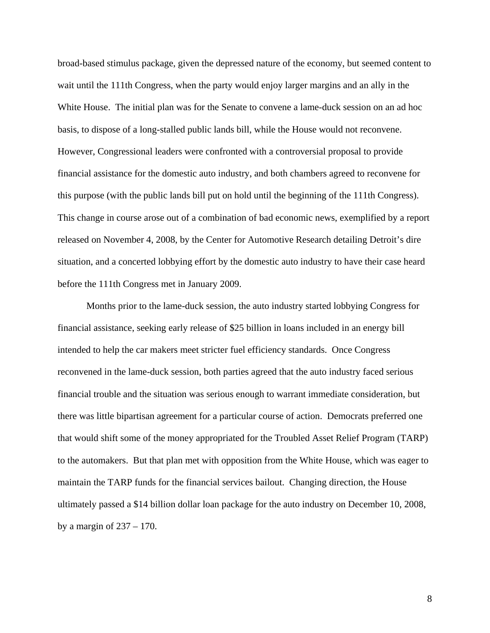broad-based stimulus package, given the depressed nature of the economy, but seemed content to wait until the 111th Congress, when the party would enjoy larger margins and an ally in the White House. The initial plan was for the Senate to convene a lame-duck session on an ad hoc basis, to dispose of a long-stalled public lands bill, while the House would not reconvene. However, Congressional leaders were confronted with a controversial proposal to provide financial assistance for the domestic auto industry, and both chambers agreed to reconvene for this purpose (with the public lands bill put on hold until the beginning of the 111th Congress). This change in course arose out of a combination of bad economic news, exemplified by a report released on November 4, 2008, by the Center for Automotive Research detailing Detroit's dire situation, and a concerted lobbying effort by the domestic auto industry to have their case heard before the 111th Congress met in January 2009.

Months prior to the lame-duck session, the auto industry started lobbying Congress for financial assistance, seeking early release of \$25 billion in loans included in an energy bill intended to help the car makers meet stricter fuel efficiency standards. Once Congress reconvened in the lame-duck session, both parties agreed that the auto industry faced serious financial trouble and the situation was serious enough to warrant immediate consideration, but there was little bipartisan agreement for a particular course of action. Democrats preferred one that would shift some of the money appropriated for the Troubled Asset Relief Program (TARP) to the automakers. But that plan met with opposition from the White House, which was eager to maintain the TARP funds for the financial services bailout. Changing direction, the House ultimately passed a \$14 billion dollar loan package for the auto industry on December 10, 2008, by a margin of  $237 - 170$ .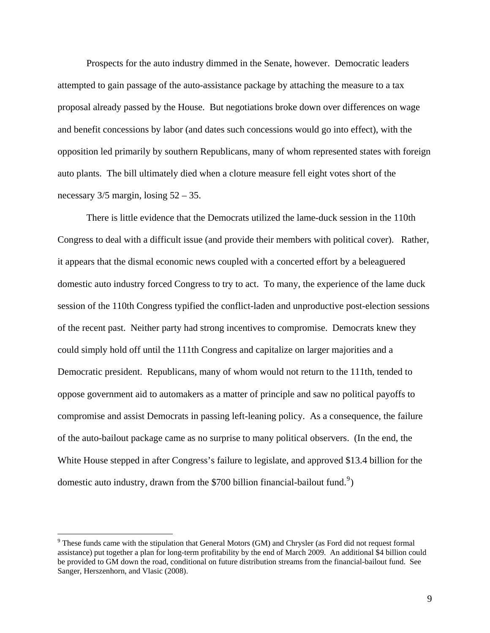<span id="page-8-0"></span>Prospects for the auto industry dimmed in the Senate, however. Democratic leaders attempted to gain passage of the auto-assistance package by attaching the measure to a tax proposal already passed by the House. But negotiations broke down over differences on wage and benefit concessions by labor (and dates such concessions would go into effect), with the opposition led primarily by southern Republicans, many of whom represented states with foreign auto plants. The bill ultimately died when a cloture measure fell eight votes short of the necessary  $3/5$  margin, losing  $52 - 35$ .

There is little evidence that the Democrats utilized the lame-duck session in the 110th Congress to deal with a difficult issue (and provide their members with political cover). Rather, it appears that the dismal economic news coupled with a concerted effort by a beleaguered domestic auto industry forced Congress to try to act. To many, the experience of the lame duck session of the 110th Congress typified the conflict-laden and unproductive post-election sessions of the recent past. Neither party had strong incentives to compromise. Democrats knew they could simply hold off until the 111th Congress and capitalize on larger majorities and a Democratic president. Republicans, many of whom would not return to the 111th, tended to oppose government aid to automakers as a matter of principle and saw no political payoffs to compromise and assist Democrats in passing left-leaning policy. As a consequence, the failure of the auto-bailout package came as no surprise to many political observers. (In the end, the White House stepped in after Congress's failure to legislate, and approved \$13.4 billion for the domestic auto industry, drawn from the \$700 billion financial-bailout fund.<sup>[9](#page-8-0)</sup>)

 $9$ <sup>9</sup> These funds came with the stipulation that General Motors (GM) and Chrysler (as Ford did not request formal assistance) put together a plan for long-term profitability by the end of March 2009. An additional \$4 billion could be provided to GM down the road, conditional on future distribution streams from the financial-bailout fund. See Sanger, Herszenhorn, and Vlasic (2008).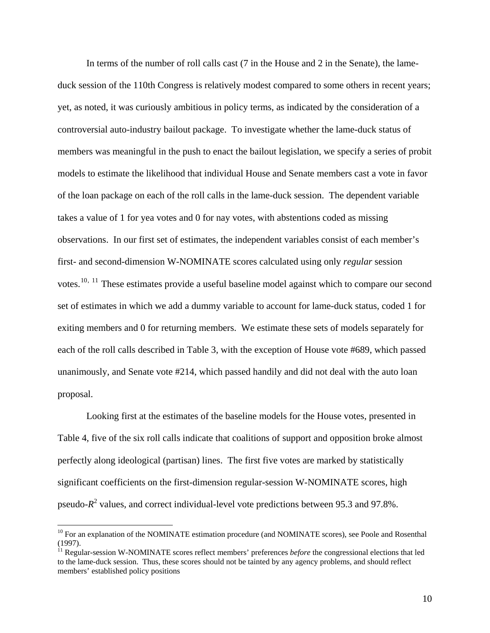<span id="page-9-0"></span>In terms of the number of roll calls cast (7 in the House and 2 in the Senate), the lameduck session of the 110th Congress is relatively modest compared to some others in recent years; yet, as noted, it was curiously ambitious in policy terms, as indicated by the consideration of a controversial auto-industry bailout package. To investigate whether the lame-duck status of members was meaningful in the push to enact the bailout legislation, we specify a series of probit models to estimate the likelihood that individual House and Senate members cast a vote in favor of the loan package on each of the roll calls in the lame-duck session. The dependent variable takes a value of 1 for yea votes and 0 for nay votes, with abstentions coded as missing observations. In our first set of estimates, the independent variables consist of each member's first- and second-dimension W-NOMINATE scores calculated using only *regular* session votes.<sup>[10](#page-9-0), [11](#page-9-0)</sup> These estimates provide a useful baseline model against which to compare our second set of estimates in which we add a dummy variable to account for lame-duck status, coded 1 for exiting members and 0 for returning members. We estimate these sets of models separately for each of the roll calls described in Table 3, with the exception of House vote #689, which passed unanimously, and Senate vote #214, which passed handily and did not deal with the auto loan proposal.

Looking first at the estimates of the baseline models for the House votes, presented in Table 4, five of the six roll calls indicate that coalitions of support and opposition broke almost perfectly along ideological (partisan) lines. The first five votes are marked by statistically significant coefficients on the first-dimension regular-session W-NOMINATE scores, high pseudo-*R*<sup>2</sup> values, and correct individual-level vote predictions between 95.3 and 97.8%.

<sup>&</sup>lt;sup>10</sup> For an explanation of the NOMINATE estimation procedure (and NOMINATE scores), see Poole and Rosenthal (1997).

<sup>&</sup>lt;sup>11</sup> Regular-session W-NOMINATE scores reflect members' preferences *before* the congressional elections that led to the lame-duck session. Thus, these scores should not be tainted by any agency problems, and should reflect members' established policy positions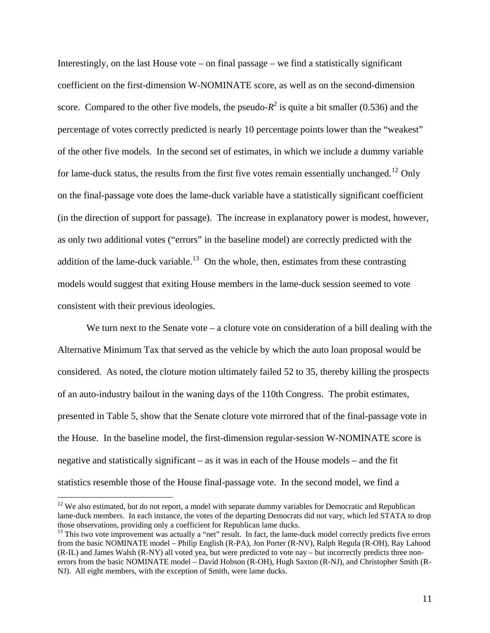<span id="page-10-0"></span>Interestingly, on the last House vote – on final passage – we find a statistically significant coefficient on the first-dimension W-NOMINATE score, as well as on the second-dimension score. Compared to the other five models, the pseudo- $R^2$  is quite a bit smaller (0.536) and the percentage of votes correctly predicted is nearly 10 percentage points lower than the "weakest" of the other five models. In the second set of estimates, in which we include a dummy variable for lame-duck status, the results from the first five votes remain essentially unchanged.<sup>[12](#page-10-0)</sup> Only on the final-passage vote does the lame-duck variable have a statistically significant coefficient (in the direction of support for passage). The increase in explanatory power is modest, however, as only two additional votes ("errors" in the baseline model) are correctly predicted with th e addition of the lame-duck variable.<sup>[13](#page-10-0)</sup> On the whole, then, estimates from these contrasting models would suggest that exiting House members in the lame-duck session seemed to vote consistent with their previous ideologies.

We turn next to the Senate vote – a cloture vote on consideration of a bill dealing with the Alternative Minimum Tax that served as the vehicle by which the auto loan proposal would be considered. As noted, the cloture motion ultimately failed 52 to 35, thereby killing the prospects of an auto-industry bailout in the waning days of the 110th Congress. The probit estimates, presented in Table 5, show that the Senate cloture vote mirrored that of the final-passage vote in the House. In the baseline model, the first-dimension regular-session W-NOMINATE score is negative and statistically significant – as it was in each of the House models – and the fit statistics resemble those of the House final-passage vote. In the second model, we find a

1

 $12$  We also estimated, but do not report, a model with separate dummy variables for Democratic and Republican lame-duck members. In each instance, the votes of the departing Democrats did not vary, which led STATA to drop those observations, providing only a coefficient for Republican lame ducks.

<sup>&</sup>lt;sup>13</sup> This two vote improvement was actually a "net" result. In fact, the lame-duck model correctly predicts five errors from the basic NOMINATE model – Philip English (R-PA), Jon Porter (R-NV), Ralph Regula (R-OH), Ray Lahood (R-IL) and James Walsh (R-NY) all voted yea, but were predicted to vote nay – but incorrectly predicts three nonerrors from the basic NOMINATE model – David Hobson (R-OH), Hugh Saxton (R-NJ), and Christopher Smith (R-NJ). All eight members, with the exception of Smith, were lame ducks.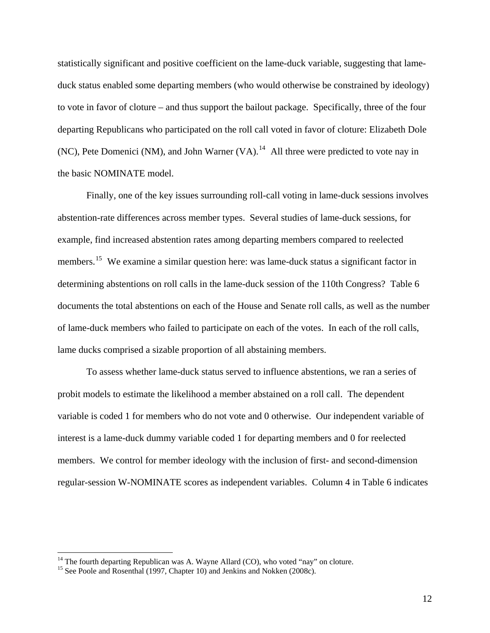<span id="page-11-0"></span>statistically significant and positive coefficient on the lame-duck variable, suggesting that lameduck status enabled some departing members (who would otherwise be constrained by ideology) to vote in favor of cloture – and thus support the bailout package. Specifically, three of the four departing Republicans who participated on the roll call voted in favor of cloture: Elizabeth Dole (NC), Pete Domenici (NM), and John Warner (VA).<sup>[14](#page-11-0)</sup> All three were predicted to vote nay in the basic NOMINATE model.

 Finally, one of the key issues surrounding roll-call voting in lame-duck sessions involves abstention-rate differences across member types. Several studies of lame-duck sessions, for example, find increased abstention rates among departing members compared to reelected members.<sup>[15](#page-11-0)</sup> We examine a similar question here: was lame-duck status a significant factor in determining abstentions on roll calls in the lame-duck session of the 110th Congress? Table 6 documents the total abstentions on each of the House and Senate roll calls, as well as the number of lame-duck members who failed to participate on each of the votes. In each of the roll calls, lame ducks comprised a sizable proportion of all abstaining members.

To assess whether lame-duck status served to influence abstentions, we ran a series of probit models to estimate the likelihood a member abstained on a roll call. The dependent variable is coded 1 for members who do not vote and 0 otherwise. Our independent variable of interest is a lame-duck dummy variable coded 1 for departing members and 0 for reelected members. We control for member ideology with the inclusion of first- and second-dimension regular-session W-NOMINATE scores as independent variables. Column 4 in Table 6 indicates

 $14$  The fourth departing Republican was A. Wayne Allard (CO), who voted "nay" on cloture.

<sup>&</sup>lt;sup>15</sup> See Poole and Rosenthal (1997, Chapter 10) and Jenkins and Nokken (2008c).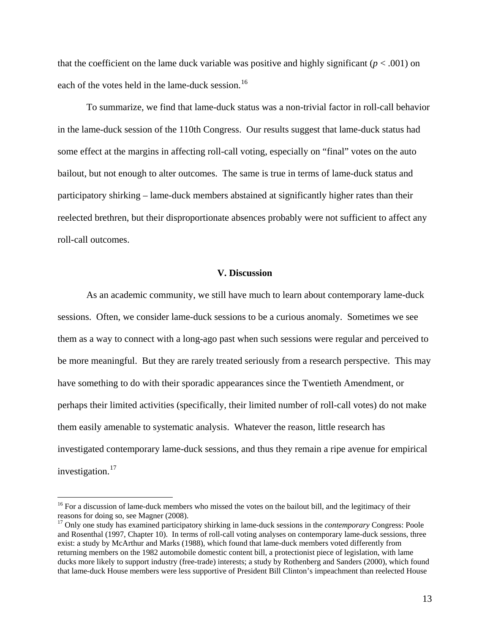<span id="page-12-0"></span>that the coefficient on the lame duck variable was positive and highly significant ( $p < .001$ ) on each of the votes held in the lame-duck session.<sup>[16](#page-12-0)</sup>

To summarize, we find that lame-duck status was a non-trivial factor in roll-call behavior in the lame-duck session of the 110th Congress. Our results suggest that lame-duck status had some effect at the margins in affecting roll-call voting, especially on "final" votes on the auto bailout, but not enough to alter outcomes. The same is true in terms of lame-duck status and participatory shirking – lame-duck members abstained at significantly higher rates than their reelected brethren, but their disproportionate absences probably were not sufficient to affect any roll-call outcomes.

### **V. Discussion**

 As an academic community, we still have much to learn about contemporary lame-duck sessions. Often, we consider lame-duck sessions to be a curious anomaly. Sometimes we see them as a way to connect with a long-ago past when such sessions were regular and perceived to be more meaningful. But they are rarely treated seriously from a research perspective. This may have something to do with their sporadic appearances since the Twentieth Amendment, or perhaps their limited activities (specifically, their limited number of roll-call votes) do not make them easily amenable to systematic analysis. Whatever the reason, little research has investigated contemporary lame-duck sessions, and thus they remain a ripe avenue for empirical investigation. $17$ 

<sup>&</sup>lt;sup>16</sup> For a discussion of lame-duck members who missed the votes on the bailout bill, and the legitimacy of their reasons for doing so, see Magner (2008).

<sup>17</sup> Only one study has examined participatory shirking in lame-duck sessions in the *contemporary* Congress: Poole and Rosenthal (1997, Chapter 10). In terms of roll-call voting analyses on contemporary lame-duck sessions, three exist: a study by McArthur and Marks (1988), which found that lame-duck members voted differently from returning members on the 1982 automobile domestic content bill, a protectionist piece of legislation, with lame ducks more likely to support industry (free-trade) interests; a study by Rothenberg and Sanders (2000), which found that lame-duck House members were less supportive of President Bill Clinton's impeachment than reelected House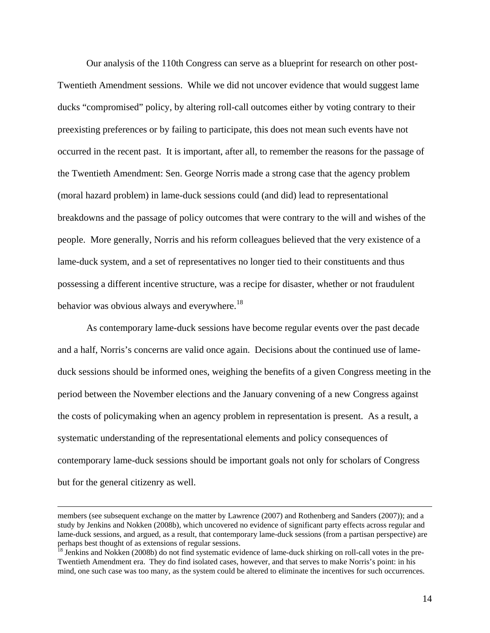<span id="page-13-0"></span>Our analysis of the 110th Congress can serve as a blueprint for research on other post-Twentieth Amendment sessions. While we did not uncover evidence that would suggest lame ducks "compromised" policy, by altering roll-call outcomes either by voting contrary to their preexisting preferences or by failing to participate, this does not mean such events have not occurred in the recent past. It is important, after all, to remember the reasons for the passage of the Twentieth Amendment: Sen. George Norris made a strong case that the agency problem (moral hazard problem) in lame-duck sessions could (and did) lead to representational breakdowns and the passage of policy outcomes that were contrary to the will and wishes of the people. More generally, Norris and his reform colleagues believed that the very existence of a lame-duck system, and a set of representatives no longer tied to their constituents and thus possessing a different incentive structure, was a recipe for disaster, whether or not fraudulent behavior was obvious always and everywhere.<sup>[18](#page-13-0)</sup>

As contemporary lame-duck sessions have become regular events over the past decade and a half, Norris's concerns are valid once again. Decisions about the continued use of lameduck sessions should be informed ones, weighing the benefits of a given Congress meeting in the period between the November elections and the January convening of a new Congress against the costs of policymaking when an agency problem in representation is present. As a result, a systematic understanding of the representational elements and policy consequences of contemporary lame-duck sessions should be important goals not only for scholars of Congress but for the general citizenry as well.

members (see subsequent exchange on the matter by Lawrence (2007) and Rothenberg and Sanders (2007)); and a study by Jenkins and Nokken (2008b), which uncovered no evidence of significant party effects across regular and lame-duck sessions, and argued, as a result, that contemporary lame-duck sessions (from a partisan perspective) are perhaps best thought of as extensions of regular sessions.

<sup>&</sup>lt;sup>18</sup> Jenkins and Nokken (2008b) do not find systematic evidence of lame-duck shirking on roll-call votes in the pre-Twentieth Amendment era. They do find isolated cases, however, and that serves to make Norris's point: in his mind, one such case was too many, as the system could be altered to eliminate the incentives for such occurrences.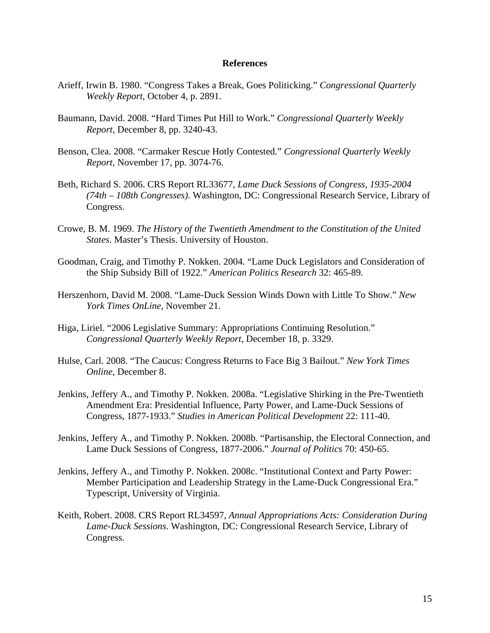#### **References**

- Arieff, Irwin B. 1980. "Congress Takes a Break, Goes Politicking." *Congressional Quarterly Weekly Report*, October 4, p. 2891.
- Baumann, David. 2008. "Hard Times Put Hill to Work." *Congressional Quarterly Weekly Report,* December 8, pp. 3240-43.
- Benson, Clea. 2008. "Carmaker Rescue Hotly Contested." *Congressional Quarterly Weekly Report*, November 17, pp. 3074-76.
- Beth, Richard S. 2006. CRS Report RL33677, *Lame Duck Sessions of Congress, 1935-2004 (74th – 108th Congresses)*. Washington, DC: Congressional Research Service, Library of Congress.
- Crowe, B. M. 1969. *The History of the Twentieth Amendment to the Constitution of the United States*. Master's Thesis. University of Houston.
- Goodman, Craig, and Timothy P. Nokken. 2004. "Lame Duck Legislators and Consideration of the Ship Subsidy Bill of 1922." *American Politics Research* 32: 465-89.
- Herszenhorn, David M. 2008. "Lame-Duck Session Winds Down with Little To Show." *New York Times OnLine*, November 21.
- Higa, Liriel. "2006 Legislative Summary: Appropriations Continuing Resolution." *Congressional Quarterly Weekly Report*, December 18, p. 3329.
- Hulse, Carl. 2008. "The Caucus: Congress Returns to Face Big 3 Bailout." *New York Times Online*, December 8.
- Jenkins, Jeffery A., and Timothy P. Nokken. 2008a. "Legislative Shirking in the Pre-Twentieth Amendment Era: Presidential Influence, Party Power, and Lame-Duck Sessions of Congress, 1877-1933." *Studies in American Political Development* 22: 111-40.
- Jenkins, Jeffery A., and Timothy P. Nokken. 2008b. "Partisanship, the Electoral Connection, and Lame Duck Sessions of Congress, 1877-2006." *Journal of Politics* 70: 450-65.
- Jenkins, Jeffery A., and Timothy P. Nokken. 2008c. "Institutional Context and Party Power: Member Participation and Leadership Strategy in the Lame-Duck Congressional Era." Typescript, University of Virginia.
- Keith, Robert. 2008. CRS Report RL34597, *Annual Appropriations Acts: Consideration During Lame-Duck Sessions*. Washington, DC: Congressional Research Service, Library of Congress.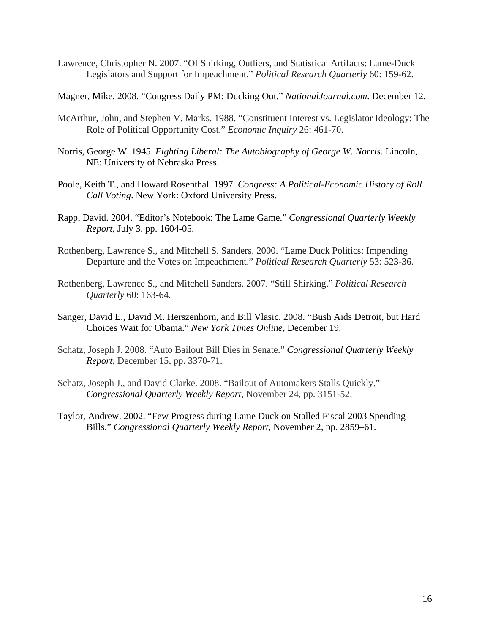Lawrence, Christopher N. 2007. "Of Shirking, Outliers, and Statistical Artifacts: Lame-Duck Legislators and Support for Impeachment." *Political Research Quarterly* 60: 159-62.

Magner, Mike. 2008. "Congress Daily PM: Ducking Out." *NationalJournal.com*. December 12.

- McArthur, John, and Stephen V. Marks. 1988. "Constituent Interest vs. Legislator Ideology: The Role of Political Opportunity Cost." *Economic Inquiry* 26: 461-70.
- Norris, George W. 1945. *Fighting Liberal: The Autobiography of George W. Norris*. Lincoln, NE: University of Nebraska Press.
- Poole, Keith T., and Howard Rosenthal. 1997. *Congress: A Political-Economic History of Roll Call Voting*. New York: Oxford University Press.
- Rapp, David. 2004. "Editor's Notebook: The Lame Game." *Congressional Quarterly Weekly Report*, July 3, pp. 1604-05.
- Rothenberg, Lawrence S., and Mitchell S. Sanders. 2000. "Lame Duck Politics: Impending Departure and the Votes on Impeachment." *Political Research Quarterly* 53: 523-36.
- Rothenberg, Lawrence S., and Mitchell Sanders. 2007. "Still Shirking." *Political Research Quarterly* 60: 163-64.
- Sanger, David E., David M. Herszenhorn, and Bill Vlasic. 2008. "Bush Aids Detroit, but Hard Choices Wait for Obama." *New York Times Online*, December 19.
- Schatz, Joseph J. 2008. "Auto Bailout Bill Dies in Senate." *Congressional Quarterly Weekly Report*, December 15, pp. 3370-71.
- Schatz, Joseph J., and David Clarke. 2008. "Bailout of Automakers Stalls Quickly." *Congressional Quarterly Weekly Report*, November 24, pp. 3151-52.
- Taylor, Andrew. 2002. "Few Progress during Lame Duck on Stalled Fiscal 2003 Spending Bills." *Congressional Quarterly Weekly Report*, November 2, pp. 2859–61.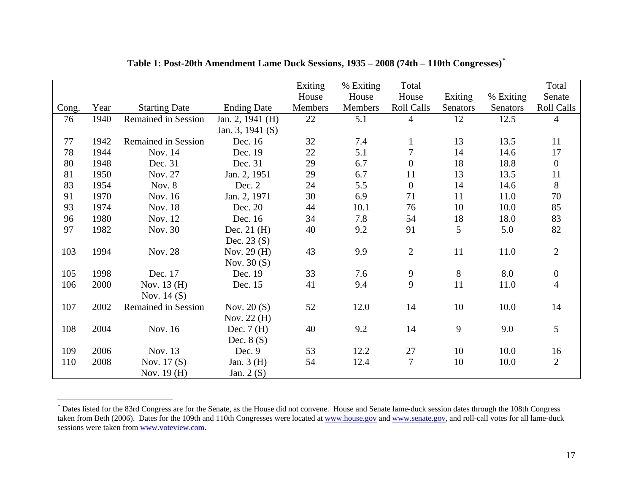|       |      |                            |                    | Exiting | % Exiting | Total             |          |                 | Total             |
|-------|------|----------------------------|--------------------|---------|-----------|-------------------|----------|-----------------|-------------------|
|       |      |                            |                    | House   | House     | House             | Exiting  | % Exiting       | Senate            |
| Cong. | Year | <b>Starting Date</b>       | <b>Ending Date</b> | Members | Members   | <b>Roll Calls</b> | Senators | <b>Senators</b> | <b>Roll Calls</b> |
| 76    | 1940 | Remained in Session        | Jan. 2, 1941 (H)   | 22      | 5.1       | 4                 | 12       | 12.5            | $\overline{4}$    |
|       |      |                            | Jan. 3, 1941 $(S)$ |         |           |                   |          |                 |                   |
| 77    | 1942 | <b>Remained in Session</b> | Dec. 16            | 32      | 7.4       | $\mathbf{1}$      | 13       | 13.5            | 11                |
| 78    | 1944 | Nov. 14                    | Dec. 19            | 22      | 5.1       | $\overline{7}$    | 14       | 14.6            | 17                |
| 80    | 1948 | Dec. 31                    | Dec. 31            | 29      | 6.7       | $\boldsymbol{0}$  | 18       | 18.8            | $\boldsymbol{0}$  |
| 81    | 1950 | Nov. 27                    | Jan. 2, 1951       | 29      | 6.7       | 11                | 13       | 13.5            | 11                |
| 83    | 1954 | Nov. 8                     | Dec. 2             | 24      | 5.5       | $\boldsymbol{0}$  | 14       | 14.6            | 8                 |
| 91    | 1970 | Nov. 16                    | Jan. 2, 1971       | 30      | 6.9       | 71                | 11       | 11.0            | $70\,$            |
| 93    | 1974 | Nov. 18                    | Dec. 20            | 44      | 10.1      | 76                | 10       | 10.0            | 85                |
| 96    | 1980 | Nov. 12                    | Dec. 16            | 34      | 7.8       | 54                | 18       | 18.0            | 83                |
| 97    | 1982 | Nov. 30                    | Dec. $21$ (H)      | 40      | 9.2       | 91                | 5        | 5.0             | 82                |
|       |      |                            | Dec. $23(S)$       |         |           |                   |          |                 |                   |
| 103   | 1994 | Nov. 28                    | Nov. 29 (H)        | 43      | 9.9       | $\overline{2}$    | 11       | 11.0            | $\overline{2}$    |
|       |      |                            | Nov. $30(S)$       |         |           |                   |          |                 |                   |
| 105   | 1998 | Dec. 17                    | Dec. 19            | 33      | 7.6       | 9                 | $8\,$    | 8.0             | $\boldsymbol{0}$  |
| 106   | 2000 | Nov. 13 (H)                | Dec. 15            | 41      | 9.4       | 9                 | 11       | 11.0            | $\overline{4}$    |
|       |      | Nov. $14(S)$               |                    |         |           |                   |          |                 |                   |
| 107   | 2002 | Remained in Session        | Nov. $20(S)$       | 52      | 12.0      | 14                | 10       | 10.0            | 14                |
|       |      |                            | Nov. $22(H)$       |         |           |                   |          |                 |                   |
| 108   | 2004 | Nov. 16                    | Dec. $7(H)$        | 40      | 9.2       | 14                | 9        | 9.0             | 5                 |
|       |      |                            | Dec. $8(S)$        |         |           |                   |          |                 |                   |
| 109   | 2006 | Nov. 13                    | Dec. 9             | 53      | 12.2      | 27                | 10       | 10.0            | 16                |
| 110   | 2008 | Nov. $17(S)$               | Jan. $3(H)$        | 54      | 12.4      | 7                 | 10       | 10.0            | $\overline{2}$    |
|       |      | Nov. $19(H)$               | Jan. $2(S)$        |         |           |                   |          |                 |                   |

## **Table 1: Post-20th Amendment Lame Duck Sessions, 1935 – 2008 (74th – 110th Congresses)[\\*](#page-16-0)**

<span id="page-16-0"></span><sup>\*</sup> Dates listed for the 83rd Congress are for the Senate, as the House did not convene. House and Senate lame-duck session dates through the 108th Congress taken from Beth (2006). Dates for the 109th and 110th Congresses were located at [www.house.gov](http://www.house.gov/) and [www.senate.gov](http://www.senate.gov/), and roll-call votes for all lame-duck sessions were taken from [www.voteview.com](http://www.voteview.com/).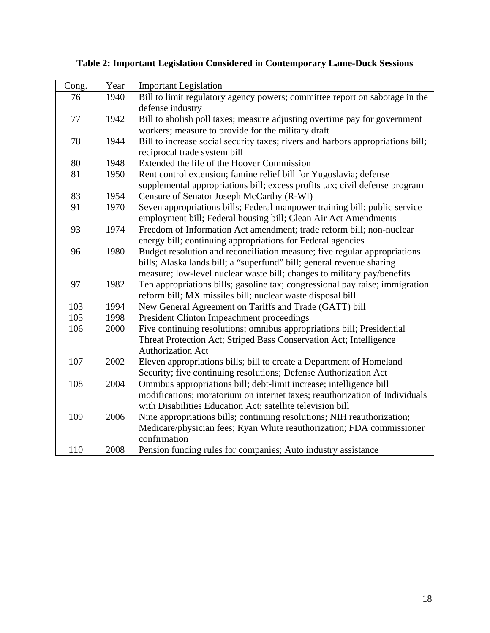| Cong. | Year | <b>Important Legislation</b>                                                    |
|-------|------|---------------------------------------------------------------------------------|
| 76    | 1940 | Bill to limit regulatory agency powers; committee report on sabotage in the     |
|       |      | defense industry                                                                |
| 77    | 1942 | Bill to abolish poll taxes; measure adjusting overtime pay for government       |
|       |      | workers; measure to provide for the military draft                              |
| 78    | 1944 | Bill to increase social security taxes; rivers and harbors appropriations bill; |
|       |      | reciprocal trade system bill                                                    |
| 80    | 1948 | Extended the life of the Hoover Commission                                      |
| 81    | 1950 | Rent control extension; famine relief bill for Yugoslavia; defense              |
|       |      | supplemental appropriations bill; excess profits tax; civil defense program     |
| 83    | 1954 | Censure of Senator Joseph McCarthy (R-WI)                                       |
| 91    | 1970 | Seven appropriations bills; Federal manpower training bill; public service      |
|       |      | employment bill; Federal housing bill; Clean Air Act Amendments                 |
| 93    | 1974 | Freedom of Information Act amendment; trade reform bill; non-nuclear            |
|       |      | energy bill; continuing appropriations for Federal agencies                     |
| 96    | 1980 | Budget resolution and reconciliation measure; five regular appropriations       |
|       |      | bills; Alaska lands bill; a "superfund" bill; general revenue sharing           |
|       |      | measure; low-level nuclear waste bill; changes to military pay/benefits         |
| 97    | 1982 | Ten appropriations bills; gasoline tax; congressional pay raise; immigration    |
|       |      | reform bill; MX missiles bill; nuclear waste disposal bill                      |
| 103   | 1994 | New General Agreement on Tariffs and Trade (GATT) bill                          |
| 105   | 1998 | President Clinton Impeachment proceedings                                       |
| 106   | 2000 | Five continuing resolutions; omnibus appropriations bill; Presidential          |
|       |      | Threat Protection Act; Striped Bass Conservation Act; Intelligence              |
|       |      | <b>Authorization Act</b>                                                        |
| 107   | 2002 | Eleven appropriations bills; bill to create a Department of Homeland            |
|       |      | Security; five continuing resolutions; Defense Authorization Act                |
| 108   | 2004 | Omnibus appropriations bill; debt-limit increase; intelligence bill             |
|       |      | modifications; moratorium on internet taxes; reauthorization of Individuals     |
|       |      | with Disabilities Education Act; satellite television bill                      |
| 109   | 2006 | Nine appropriations bills; continuing resolutions; NIH reauthorization;         |
|       |      | Medicare/physician fees; Ryan White reauthorization; FDA commissioner           |
|       |      | confirmation                                                                    |
| 110   | 2008 | Pension funding rules for companies; Auto industry assistance                   |

**Table 2: Important Legislation Considered in Contemporary Lame-Duck Sessions**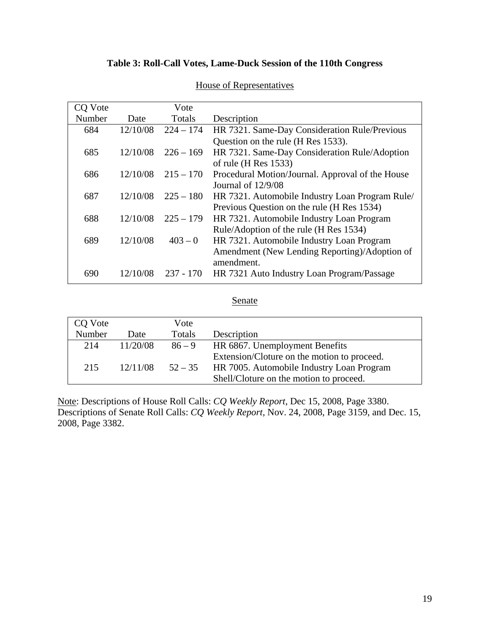# **Table 3: Roll-Call Votes, Lame-Duck Session of the 110th Congress**

| CO Vote |          | Vote        |                                                  |
|---------|----------|-------------|--------------------------------------------------|
| Number  | Date     | Totals      | Description                                      |
| 684     | 12/10/08 | $224 - 174$ | HR 7321. Same-Day Consideration Rule/Previous    |
|         |          |             | Question on the rule (H Res 1533).               |
| 685     | 12/10/08 | $226 - 169$ | HR 7321. Same-Day Consideration Rule/Adoption    |
|         |          |             | of rule (H Res $1533$ )                          |
| 686     | 12/10/08 | $215 - 170$ | Procedural Motion/Journal. Approval of the House |
|         |          |             | Journal of $12/9/08$                             |
| 687     | 12/10/08 | $225 - 180$ | HR 7321. Automobile Industry Loan Program Rule/  |
|         |          |             | Previous Question on the rule (H Res 1534)       |
| 688     | 12/10/08 | $225 - 179$ | HR 7321. Automobile Industry Loan Program        |
|         |          |             | Rule/Adoption of the rule (H Res 1534)           |
| 689     | 12/10/08 | $403 - 0$   | HR 7321. Automobile Industry Loan Program        |
|         |          |             | Amendment (New Lending Reporting)/Adoption of    |
|         |          |             | amendment.                                       |
| 690     | 12/10/08 | $237 - 170$ | HR 7321 Auto Industry Loan Program/Passage       |

## House of Representatives

### Senate

| CQ Vote |          | Vote      |                                                                                                                                     |
|---------|----------|-----------|-------------------------------------------------------------------------------------------------------------------------------------|
| Number  | Date     | Totals    | Description                                                                                                                         |
| 214     | 11/20/08 | $86 - 9$  | HR 6867. Unemployment Benefits                                                                                                      |
| 215     | 12/11/08 | $52 - 35$ | Extension/Cloture on the motion to proceed.<br>HR 7005. Automobile Industry Loan Program<br>Shell/Cloture on the motion to proceed. |

Note: Descriptions of House Roll Calls: *CQ Weekly Report*, Dec 15, 2008, Page 3380. Descriptions of Senate Roll Calls: *CQ Weekly Report*, Nov. 24, 2008, Page 3159, and Dec. 15, 2008, Page 3382.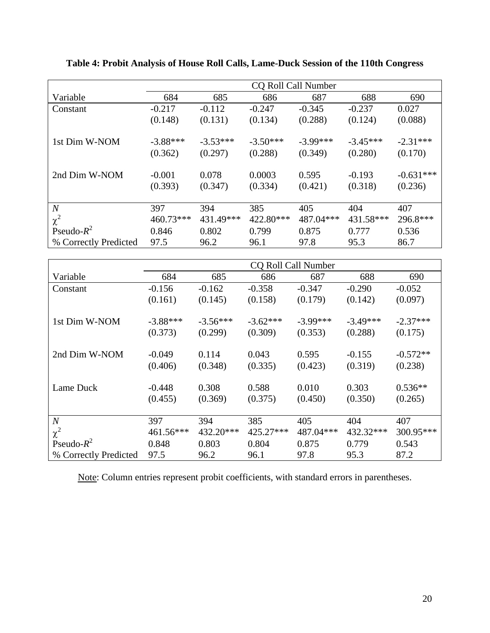|                       | <b>CQ Roll Call Number</b> |                  |                   |                  |                     |                        |
|-----------------------|----------------------------|------------------|-------------------|------------------|---------------------|------------------------|
| Variable              | 684                        | 685              | 686               | 687              | 688                 | 690                    |
| Constant              | $-0.217$                   | $-0.112$         | $-0.247$          | $-0.345$         | $-0.237$            | 0.027                  |
|                       | (0.148)                    | (0.131)          | (0.134)           | (0.288)          | (0.124)             | (0.088)                |
| 1st Dim W-NOM         | $-3.88***$                 | $-3.53***$       | $-3.50***$        | $-3.99***$       | $-3.45***$          | $-2.31***$             |
|                       | (0.362)                    | (0.297)          | (0.288)           | (0.349)          | (0.280)             | (0.170)                |
| 2nd Dim W-NOM         | $-0.001$<br>(0.393)        | 0.078<br>(0.347) | 0.0003<br>(0.334) | 0.595<br>(0.421) | $-0.193$<br>(0.318) | $-0.631***$<br>(0.236) |
| $\boldsymbol{N}$      | 397                        | 394              | 385               | 405              | 404                 | 407                    |
| $\chi^2$              | 460.73***                  | 431.49***        | 422.80***         | 487.04***        | 431.58***           | 296.8***               |
| Pseudo- $R^2$         | 0.846                      | 0.802            | 0.799             | 0.875            | 0.777               | 0.536                  |
| % Correctly Predicted | 97.5                       | 96.2             | 96.1              | 97.8             | 95.3                | 86.7                   |

**Table 4: Probit Analysis of House Roll Calls, Lame-Duck Session of the 110th Congress** 

|                       | <b>CQ Roll Call Number</b> |            |            |            |            |            |
|-----------------------|----------------------------|------------|------------|------------|------------|------------|
| Variable              | 684                        | 685        | 686        | 687        | 688        | 690        |
| Constant              | $-0.156$                   | $-0.162$   | $-0.358$   | $-0.347$   | $-0.290$   | $-0.052$   |
|                       | (0.161)                    | (0.145)    | (0.158)    | (0.179)    | (0.142)    | (0.097)    |
| 1st Dim W-NOM         | $-3.88***$                 | $-3.56***$ | $-3.62***$ | $-3.99***$ | $-3.49***$ | $-2.37***$ |
|                       | (0.373)                    | (0.299)    | (0.309)    | (0.353)    | (0.288)    | (0.175)    |
| 2nd Dim W-NOM         | $-0.049$                   | 0.114      | 0.043      | 0.595      | $-0.155$   | $-0.572**$ |
|                       | (0.406)                    | (0.348)    | (0.335)    | (0.423)    | (0.319)    | (0.238)    |
| Lame Duck             | $-0.448$                   | 0.308      | 0.588      | 0.010      | 0.303      | $0.536**$  |
|                       | (0.455)                    | (0.369)    | (0.375)    | (0.450)    | (0.350)    | (0.265)    |
| $\boldsymbol{N}$      | 397                        | 394        | 385        | 405        | 404        | 407        |
|                       |                            |            |            |            |            |            |
| $\chi^2$              | 461.56***                  | 432.20***  | 425.27***  | 487.04***  | 432.32***  | 300.95***  |
| Pseudo- $R^2$         | 0.848                      | 0.803      | 0.804      | 0.875      | 0.779      | 0.543      |
| % Correctly Predicted | 97.5                       | 96.2       | 96.1       | 97.8       | 95.3       | 87.2       |

Note: Column entries represent probit coefficients, with standard errors in parentheses.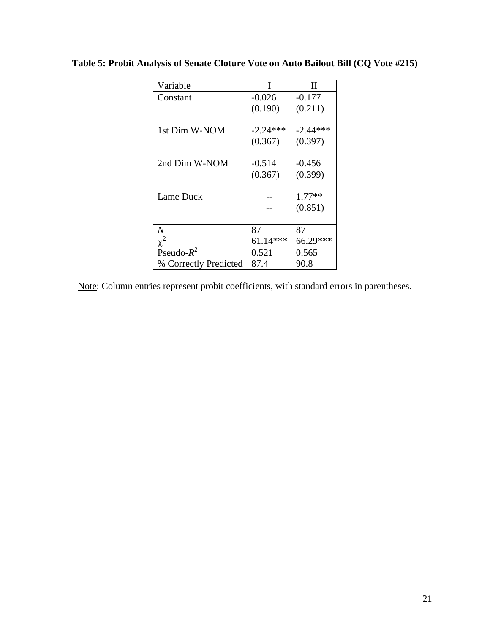| Variable              | I          | П          |
|-----------------------|------------|------------|
| Constant              | $-0.026$   | $-0.177$   |
|                       | (0.190)    | (0.211)    |
| 1st Dim W-NOM         | $-2.24***$ | $-2.44***$ |
|                       | (0.367)    | (0.397)    |
| 2nd Dim W-NOM         | $-0.514$   | $-0.456$   |
|                       | (0.367)    | (0.399)    |
|                       |            |            |
| Lame Duck             |            | $1.77**$   |
|                       |            | (0.851)    |
|                       |            |            |
| N                     | 87         | 87         |
| $\chi^2$              | $61.14***$ | 66.29***   |
| Pseudo- $R^2$         | 0.521      | 0.565      |
| % Correctly Predicted | 87.4       | 90.8       |

**Table 5: Probit Analysis of Senate Cloture Vote on Auto Bailout Bill (CQ Vote #215)** 

Note: Column entries represent probit coefficients, with standard errors in parentheses.